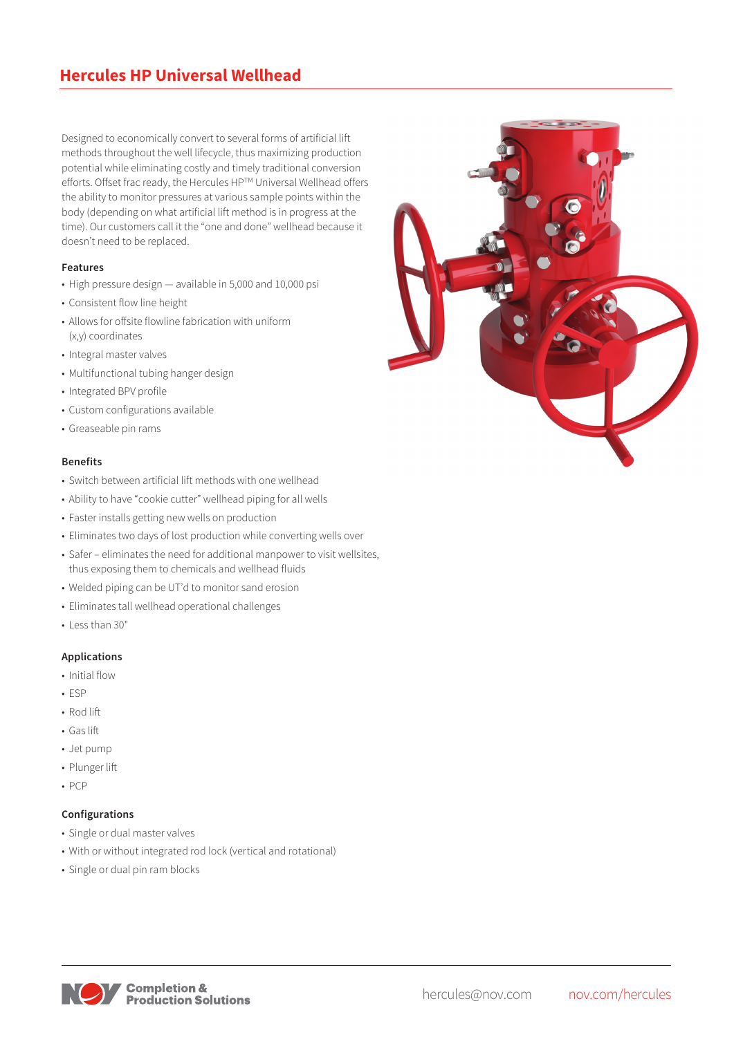Designed to economically convert to several forms of artificial lift methods throughout the well lifecycle, thus maximizing production potential while eliminating costly and timely traditional conversion efforts. Offset frac ready, the Hercules HP™ Universal Wellhead offers the ability to monitor pressures at various sample points within the body (depending on what artificial lift method is in progress at the time). Our customers call it the "one and done" wellhead because it doesn't need to be replaced.

#### **Features**

- High pressure design available in 5,000 and 10,000 psi
- Consistent flow line height
- Allows for offsite flowline fabrication with uniform (x,y) coordinates
- Integral master valves
- Multifunctional tubing hanger design
- Integrated BPV profile
- Custom configurations available
- Greaseable pin rams

#### **Benefits**

- Switch between artificial lift methods with one wellhead
- Ability to have "cookie cutter" wellhead piping for all wells
- Faster installs getting new wells on production
- Eliminates two days of lost production while converting wells over
- Safer eliminates the need for additional manpower to visit wellsites, thus exposing them to chemicals and wellhead fluids
- Welded piping can be UT'd to monitor sand erosion
- Eliminates tall wellhead operational challenges
- Less than 30"

## **Applications**

- Initial flow
- ESP
- Rod lift
- Gas lift
- Jet pump
- Plunger lift
- PCP

## **Configurations**

- Single or dual master valves
- With or without integrated rod lock (vertical and rotational)
- Single or dual pin ram blocks